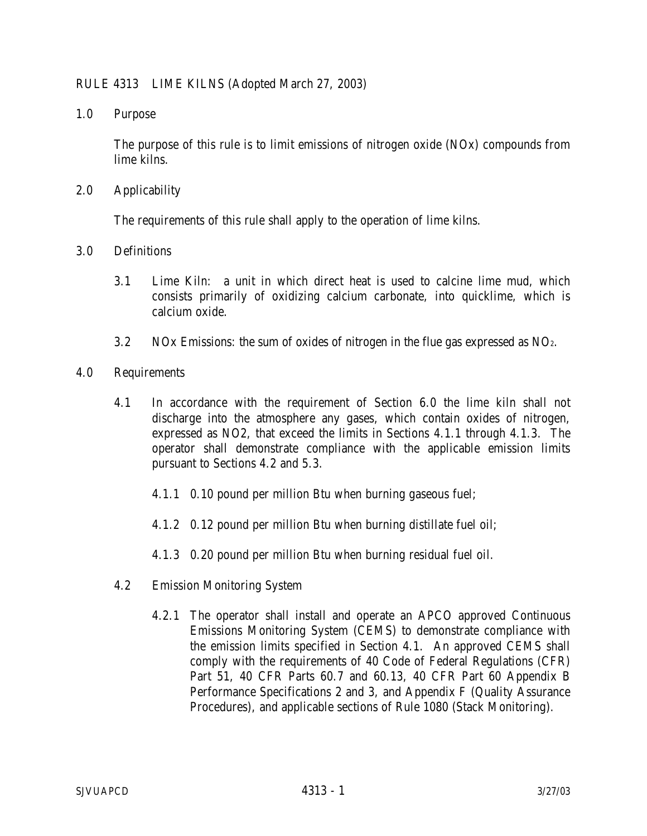## RULE 4313 LIME KILNS (Adopted March 27, 2003)

1.0 Purpose

 The purpose of this rule is to limit emissions of nitrogen oxide (NOx) compounds from lime kilns.

2.0 Applicability

The requirements of this rule shall apply to the operation of lime kilns.

- 3.0 Definitions
	- 3.1 Lime Kiln: a unit in which direct heat is used to calcine lime mud, which consists primarily of oxidizing calcium carbonate, into quicklime, which is calcium oxide.
	- 3.2 NOx Emissions: the sum of oxides of nitrogen in the flue gas expressed as  $NO<sub>2</sub>$ .
- 4.0 Requirements
	- 4.1 In accordance with the requirement of Section 6.0 the lime kiln shall not discharge into the atmosphere any gases, which contain oxides of nitrogen, expressed as NO2, that exceed the limits in Sections 4.1.1 through 4.1.3. The operator shall demonstrate compliance with the applicable emission limits pursuant to Sections 4.2 and 5.3.
		- 4.1.1 0.10 pound per million Btu when burning gaseous fuel;
		- 4.1.2 0.12 pound per million Btu when burning distillate fuel oil;
		- 4.1.3 0.20 pound per million Btu when burning residual fuel oil.
	- 4.2 Emission Monitoring System
		- 4.2.1 The operator shall install and operate an APCO approved Continuous Emissions Monitoring System (CEMS) to demonstrate compliance with the emission limits specified in Section 4.1. An approved CEMS shall comply with the requirements of 40 Code of Federal Regulations (CFR) Part 51, 40 CFR Parts 60.7 and 60.13, 40 CFR Part 60 Appendix B Performance Specifications 2 and 3, and Appendix F (Quality Assurance Procedures), and applicable sections of Rule 1080 (Stack Monitoring).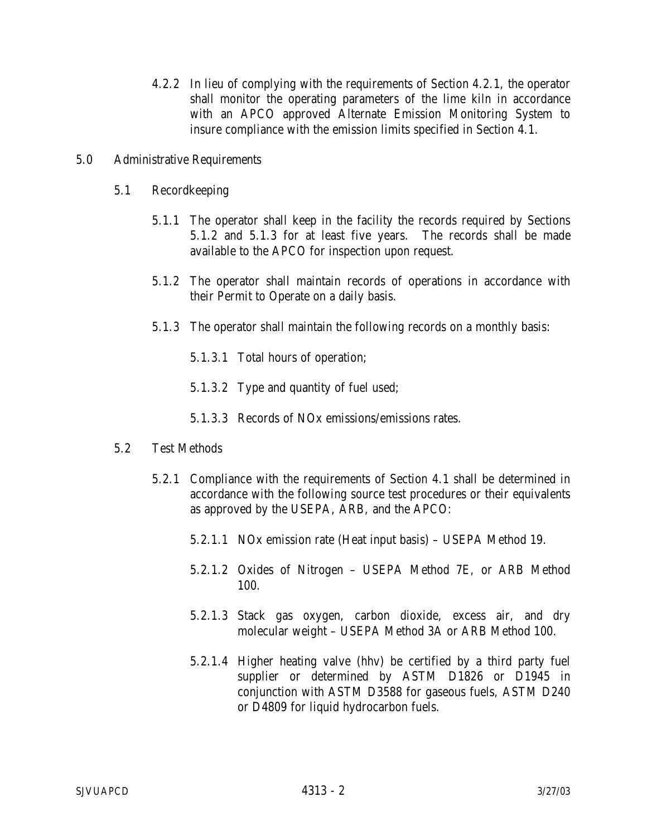- 4.2.2 In lieu of complying with the requirements of Section 4.2.1, the operator shall monitor the operating parameters of the lime kiln in accordance with an APCO approved Alternate Emission Monitoring System to insure compliance with the emission limits specified in Section 4.1.
- 5.0 Administrative Requirements
	- 5.1 Recordkeeping
		- 5.1.1 The operator shall keep in the facility the records required by Sections 5.1.2 and 5.1.3 for at least five years. The records shall be made available to the APCO for inspection upon request.
		- 5.1.2 The operator shall maintain records of operations in accordance with their Permit to Operate on a daily basis.
		- 5.1.3 The operator shall maintain the following records on a monthly basis:
			- 5.1.3.1 Total hours of operation;
			- 5.1.3.2 Type and quantity of fuel used;
			- 5.1.3.3 Records of NOx emissions/emissions rates.

## 5.2 Test Methods

- 5.2.1 Compliance with the requirements of Section 4.1 shall be determined in accordance with the following source test procedures or their equivalents as approved by the USEPA, ARB, and the APCO:
	- 5.2.1.1 NOx emission rate (Heat input basis) USEPA Method 19.
	- 5.2.1.2 Oxides of Nitrogen USEPA Method 7E, or ARB Method 100.
	- 5.2.1.3 Stack gas oxygen, carbon dioxide, excess air, and dry molecular weight – USEPA Method 3A or ARB Method 100.
	- 5.2.1.4 Higher heating valve (hhv) be certified by a third party fuel supplier or determined by ASTM D1826 or D1945 in conjunction with ASTM D3588 for gaseous fuels, ASTM D240 or D4809 for liquid hydrocarbon fuels.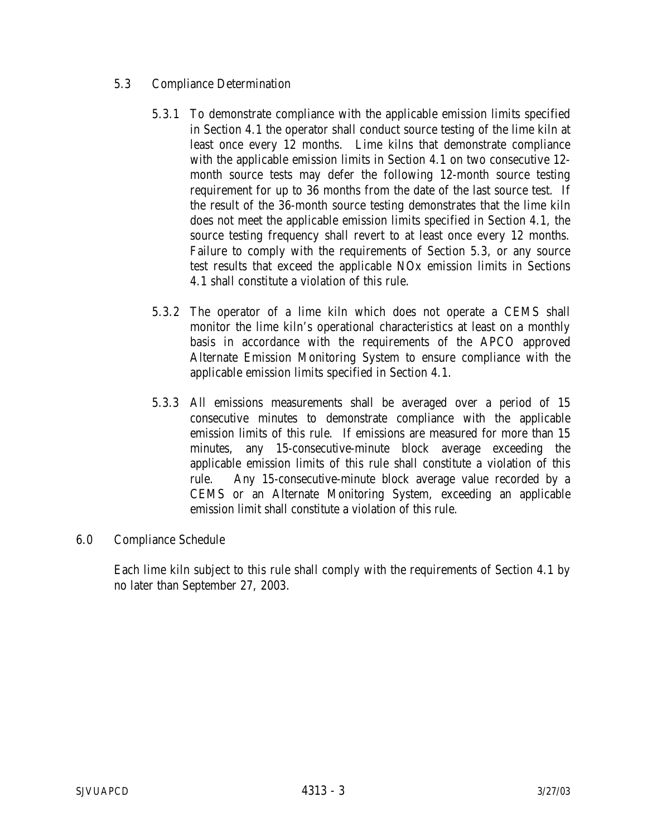- 5.3 Compliance Determination
	- 5.3.1 To demonstrate compliance with the applicable emission limits specified in Section 4.1 the operator shall conduct source testing of the lime kiln at least once every 12 months. Lime kilns that demonstrate compliance with the applicable emission limits in Section 4.1 on two consecutive 12 month source tests may defer the following 12-month source testing requirement for up to 36 months from the date of the last source test. If the result of the 36-month source testing demonstrates that the lime kiln does not meet the applicable emission limits specified in Section 4.1, the source testing frequency shall revert to at least once every 12 months. Failure to comply with the requirements of Section 5.3, or any source test results that exceed the applicable NOx emission limits in Sections 4.1 shall constitute a violation of this rule.
	- 5.3.2 The operator of a lime kiln which does not operate a CEMS shall monitor the lime kiln's operational characteristics at least on a monthly basis in accordance with the requirements of the APCO approved Alternate Emission Monitoring System to ensure compliance with the applicable emission limits specified in Section 4.1.
	- 5.3.3 All emissions measurements shall be averaged over a period of 15 consecutive minutes to demonstrate compliance with the applicable emission limits of this rule. If emissions are measured for more than 15 minutes, any 15-consecutive-minute block average exceeding the applicable emission limits of this rule shall constitute a violation of this rule. Any 15-consecutive-minute block average value recorded by a CEMS or an Alternate Monitoring System, exceeding an applicable emission limit shall constitute a violation of this rule.
- 6.0 Compliance Schedule

Each lime kiln subject to this rule shall comply with the requirements of Section 4.1 by no later than September 27, 2003.